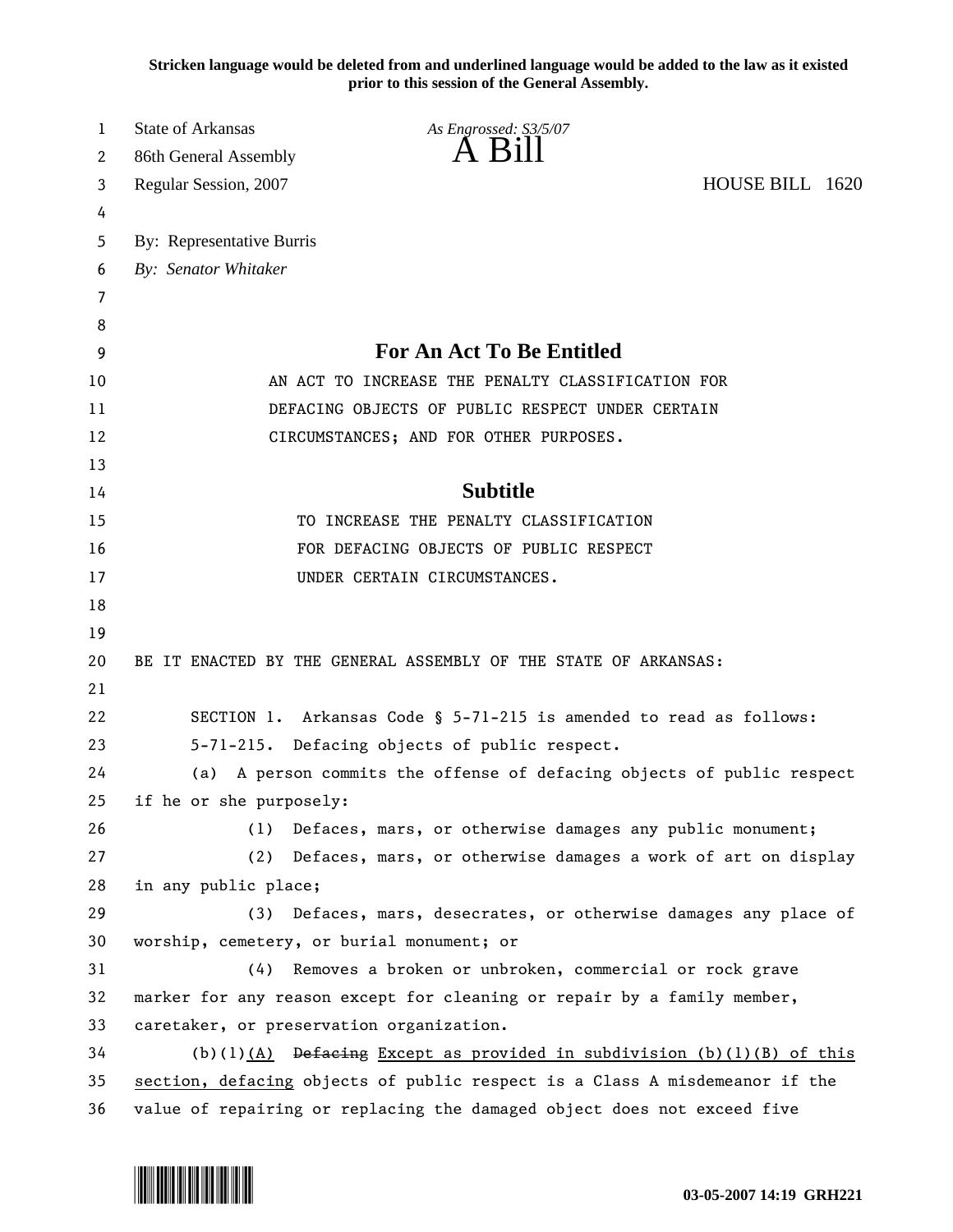**Stricken language would be deleted from and underlined language would be added to the law as it existed prior to this session of the General Assembly.**

| 1  | <b>State of Arkansas</b><br>As Engrossed: S3/5/07                           |                                                                         |  |  |
|----|-----------------------------------------------------------------------------|-------------------------------------------------------------------------|--|--|
| 2  | $\overline{A}$ $\overline{B}1$<br>86th General Assembly                     |                                                                         |  |  |
| 3  | Regular Session, 2007                                                       | HOUSE BILL 1620                                                         |  |  |
| 4  |                                                                             |                                                                         |  |  |
| 5  | By: Representative Burris                                                   |                                                                         |  |  |
| 6  | By: Senator Whitaker                                                        |                                                                         |  |  |
| 7  |                                                                             |                                                                         |  |  |
| 8  |                                                                             |                                                                         |  |  |
| 9  | <b>For An Act To Be Entitled</b>                                            |                                                                         |  |  |
| 10 | AN ACT TO INCREASE THE PENALTY CLASSIFICATION FOR                           |                                                                         |  |  |
| 11 | DEFACING OBJECTS OF PUBLIC RESPECT UNDER CERTAIN                            |                                                                         |  |  |
| 12 | CIRCUMSTANCES; AND FOR OTHER PURPOSES.                                      |                                                                         |  |  |
| 13 |                                                                             |                                                                         |  |  |
| 14 | <b>Subtitle</b>                                                             |                                                                         |  |  |
| 15 | TO INCREASE THE PENALTY CLASSIFICATION                                      |                                                                         |  |  |
| 16 | FOR DEFACING OBJECTS OF PUBLIC RESPECT                                      |                                                                         |  |  |
| 17 | UNDER CERTAIN CIRCUMSTANCES.                                                |                                                                         |  |  |
| 18 |                                                                             |                                                                         |  |  |
| 19 |                                                                             |                                                                         |  |  |
| 20 | BE IT ENACTED BY THE GENERAL ASSEMBLY OF THE STATE OF ARKANSAS:             |                                                                         |  |  |
| 21 |                                                                             |                                                                         |  |  |
| 22 | SECTION 1. Arkansas Code § 5-71-215 is amended to read as follows:          |                                                                         |  |  |
| 23 | 5-71-215. Defacing objects of public respect.                               |                                                                         |  |  |
| 24 | (a) A person commits the offense of defacing objects of public respect      |                                                                         |  |  |
| 25 | if he or she purposely:                                                     |                                                                         |  |  |
| 26 | (1)<br>Defaces, mars, or otherwise damages any public monument;             |                                                                         |  |  |
| 27 | Defaces, mars, or otherwise damages a work of art on display<br>(2)         |                                                                         |  |  |
| 28 | in any public place;                                                        |                                                                         |  |  |
| 29 | Defaces, mars, desecrates, or otherwise damages any place of<br>(3)         |                                                                         |  |  |
| 30 | worship, cemetery, or burial monument; or                                   |                                                                         |  |  |
| 31 | Removes a broken or unbroken, commercial or rock grave<br>(4)               |                                                                         |  |  |
| 32 |                                                                             | marker for any reason except for cleaning or repair by a family member, |  |  |
| 33 | caretaker, or preservation organization.                                    |                                                                         |  |  |
| 34 | (b)(1) $(A)$ Defacing Except as provided in subdivision (b)(1)(B) of this   |                                                                         |  |  |
| 35 | section, defacing objects of public respect is a Class A misdemeanor if the |                                                                         |  |  |
| 36 | value of repairing or replacing the damaged object does not exceed five     |                                                                         |  |  |